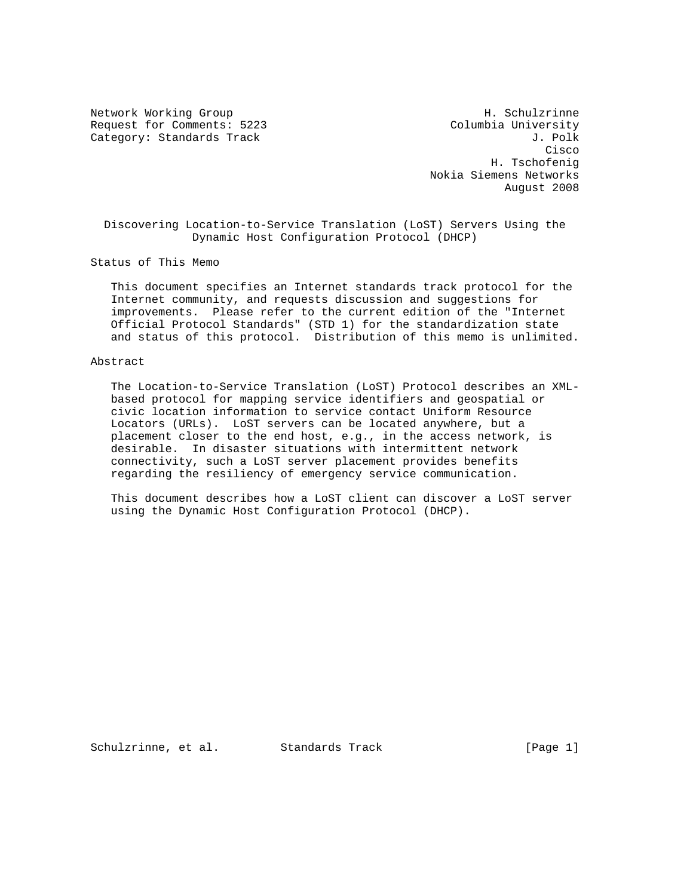Request for Comments: 5223 Columbia University Category: Standards Track J. Polk

Network Working Group Network H. Schulzrinne **Cisco de la constitución de la constitución de la constitución de la constitución de la constitución de la co**  H. Tschofenig Nokia Siemens Networks August 2008

 Discovering Location-to-Service Translation (LoST) Servers Using the Dynamic Host Configuration Protocol (DHCP)

Status of This Memo

 This document specifies an Internet standards track protocol for the Internet community, and requests discussion and suggestions for improvements. Please refer to the current edition of the "Internet Official Protocol Standards" (STD 1) for the standardization state and status of this protocol. Distribution of this memo is unlimited.

### Abstract

 The Location-to-Service Translation (LoST) Protocol describes an XML based protocol for mapping service identifiers and geospatial or civic location information to service contact Uniform Resource Locators (URLs). LoST servers can be located anywhere, but a placement closer to the end host, e.g., in the access network, is desirable. In disaster situations with intermittent network connectivity, such a LoST server placement provides benefits regarding the resiliency of emergency service communication.

 This document describes how a LoST client can discover a LoST server using the Dynamic Host Configuration Protocol (DHCP).

Schulzrinne, et al. Standards Track [Page 1]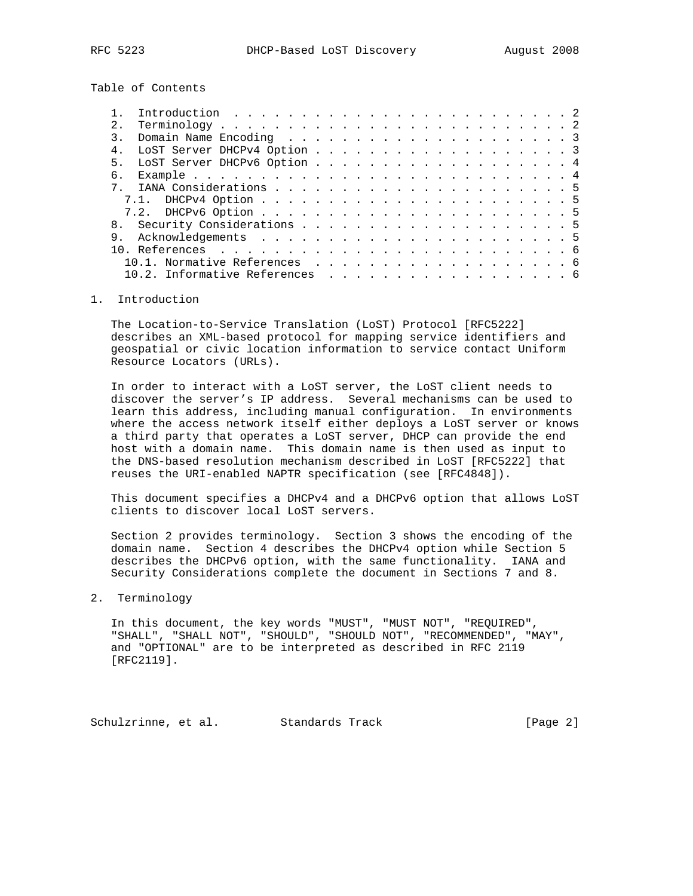Table of Contents

| 2.1 |                                |  |  |  |  |  |  |  |  |  |  |
|-----|--------------------------------|--|--|--|--|--|--|--|--|--|--|
|     |                                |  |  |  |  |  |  |  |  |  |  |
|     | LOST Server DHCPv4 Option 3    |  |  |  |  |  |  |  |  |  |  |
|     | 5. LOST Server DHCPv6 Option 4 |  |  |  |  |  |  |  |  |  |  |
| რ.  |                                |  |  |  |  |  |  |  |  |  |  |
|     |                                |  |  |  |  |  |  |  |  |  |  |
|     |                                |  |  |  |  |  |  |  |  |  |  |
|     |                                |  |  |  |  |  |  |  |  |  |  |
|     |                                |  |  |  |  |  |  |  |  |  |  |
|     |                                |  |  |  |  |  |  |  |  |  |  |
|     |                                |  |  |  |  |  |  |  |  |  |  |
|     | 10.1. Normative References 6   |  |  |  |  |  |  |  |  |  |  |
|     | 10.2. Informative References 6 |  |  |  |  |  |  |  |  |  |  |
|     |                                |  |  |  |  |  |  |  |  |  |  |

### 1. Introduction

 The Location-to-Service Translation (LoST) Protocol [RFC5222] describes an XML-based protocol for mapping service identifiers and geospatial or civic location information to service contact Uniform Resource Locators (URLs).

 In order to interact with a LoST server, the LoST client needs to discover the server's IP address. Several mechanisms can be used to learn this address, including manual configuration. In environments where the access network itself either deploys a LoST server or knows a third party that operates a LoST server, DHCP can provide the end host with a domain name. This domain name is then used as input to the DNS-based resolution mechanism described in LoST [RFC5222] that reuses the URI-enabled NAPTR specification (see [RFC4848]).

 This document specifies a DHCPv4 and a DHCPv6 option that allows LoST clients to discover local LoST servers.

 Section 2 provides terminology. Section 3 shows the encoding of the domain name. Section 4 describes the DHCPv4 option while Section 5 describes the DHCPv6 option, with the same functionality. IANA and Security Considerations complete the document in Sections 7 and 8.

2. Terminology

 In this document, the key words "MUST", "MUST NOT", "REQUIRED", "SHALL", "SHALL NOT", "SHOULD", "SHOULD NOT", "RECOMMENDED", "MAY", and "OPTIONAL" are to be interpreted as described in RFC 2119 [RFC2119].

Schulzrinne, et al. Standards Track [Page 2]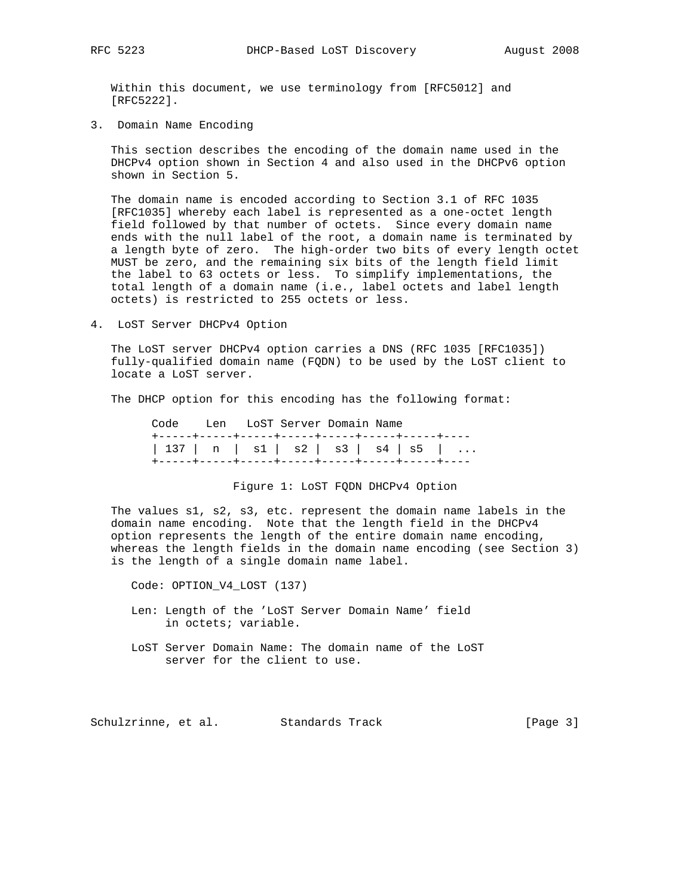Within this document, we use terminology from [RFC5012] and [RFC5222].

3. Domain Name Encoding

 This section describes the encoding of the domain name used in the DHCPv4 option shown in Section 4 and also used in the DHCPv6 option shown in Section 5.

 The domain name is encoded according to Section 3.1 of RFC 1035 [RFC1035] whereby each label is represented as a one-octet length field followed by that number of octets. Since every domain name ends with the null label of the root, a domain name is terminated by a length byte of zero. The high-order two bits of every length octet MUST be zero, and the remaining six bits of the length field limit the label to 63 octets or less. To simplify implementations, the total length of a domain name (i.e., label octets and label length octets) is restricted to 255 octets or less.

4. LoST Server DHCPv4 Option

 The LoST server DHCPv4 option carries a DNS (RFC 1035 [RFC1035]) fully-qualified domain name (FQDN) to be used by the LoST client to locate a LoST server.

The DHCP option for this encoding has the following format:

 Code Len LoST Server Domain Name +-----+-----+-----+-----+-----+-----+-----+---- | 137 | n | s1 | s2 | s3 | s4 | s5 | ... +-----+-----+-----+-----+-----+-----+-----+----

#### Figure 1: LoST FQDN DHCPv4 Option

 The values s1, s2, s3, etc. represent the domain name labels in the domain name encoding. Note that the length field in the DHCPv4 option represents the length of the entire domain name encoding, whereas the length fields in the domain name encoding (see Section 3) is the length of a single domain name label.

Code: OPTION\_V4\_LOST (137)

- Len: Length of the 'LoST Server Domain Name' field in octets; variable.
- LoST Server Domain Name: The domain name of the LoST server for the client to use.

Schulzrinne, et al. Standards Track [Page 3]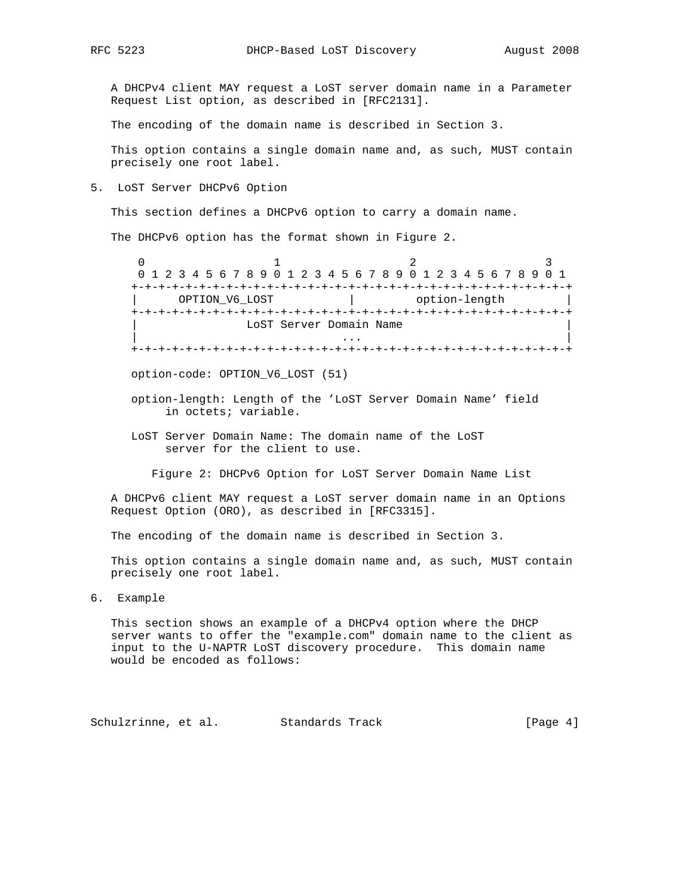A DHCPv4 client MAY request a LoST server domain name in a Parameter Request List option, as described in [RFC2131].

The encoding of the domain name is described in Section 3.

 This option contains a single domain name and, as such, MUST contain precisely one root label.

5. LoST Server DHCPv6 Option

This section defines a DHCPv6 option to carry a domain name.

The DHCPv6 option has the format shown in Figure 2.

0  $1$  2 3 0 1 2 3 4 5 6 7 8 9 0 1 2 3 4 5 6 7 8 9 0 1 2 3 4 5 6 7 8 9 0 1 +-+-+-+-+-+-+-+-+-+-+-+-+-+-+-+-+-+-+-+-+-+-+-+-+-+-+-+-+-+-+-+-+ | OPTION\_V6\_LOST | option-length | +-+-+-+-+-+-+-+-+-+-+-+-+-+-+-+-+-+-+-+-+-+-+-+-+-+-+-+-+-+-+-+-+ LoST Server Domain Name | ... | ... | ... | ... | ... | ... | ... | ... | ... | ... | ... | ... | ... | ... | ... | ... | ... | ... | 1 +-+-+-+-+-+-+-+-+-+-+-+-+-+-+-+-+-+-+-+-+-+-+-+-+-+-+-+-+-+-+-+-+

option-code: OPTION\_V6\_LOST (51)

- option-length: Length of the 'LoST Server Domain Name' field in octets; variable.
- LoST Server Domain Name: The domain name of the LoST server for the client to use.

Figure 2: DHCPv6 Option for LoST Server Domain Name List

 A DHCPv6 client MAY request a LoST server domain name in an Options Request Option (ORO), as described in [RFC3315].

The encoding of the domain name is described in Section 3.

 This option contains a single domain name and, as such, MUST contain precisely one root label.

6. Example

 This section shows an example of a DHCPv4 option where the DHCP server wants to offer the "example.com" domain name to the client as input to the U-NAPTR LoST discovery procedure. This domain name would be encoded as follows:

Schulzrinne, et al. Standards Track [Page 4]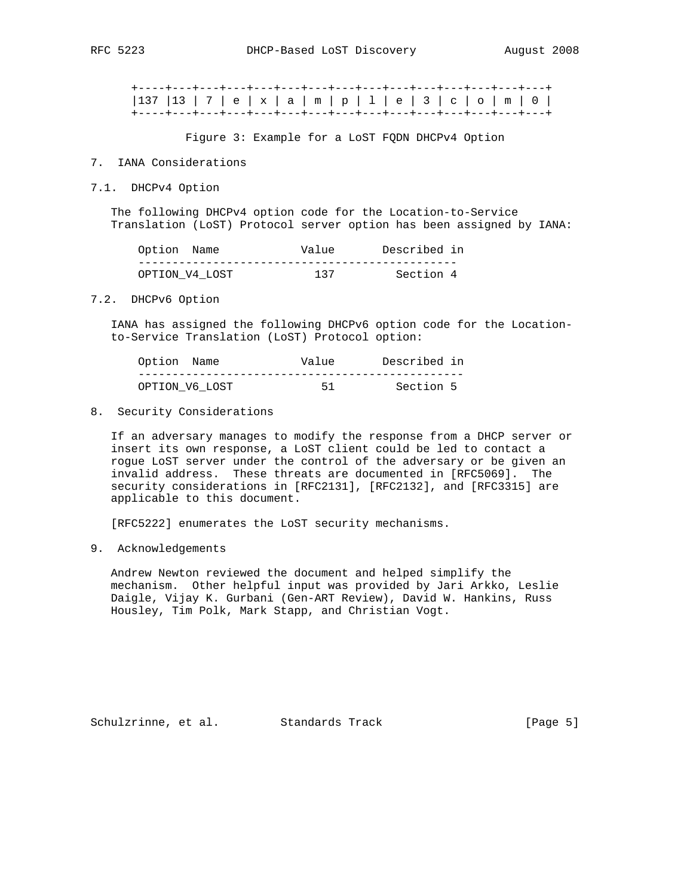|  |  |  |  |  |  |  | +----+---+---+---+---+---+---+---+---+---+---+---+---+---+---+-   |
|--|--|--|--|--|--|--|-------------------------------------------------------------------|
|  |  |  |  |  |  |  | 137   13   7   e   x   a   m   p   1   e   3   c   o   m   0      |
|  |  |  |  |  |  |  | +----+---+---+---+---+---+---+---+---+---+---+---+---+---+---+--- |

Figure 3: Example for a LoST FQDN DHCPv4 Option

### 7. IANA Considerations

7.1. DHCPv4 Option

 The following DHCPv4 option code for the Location-to-Service Translation (LoST) Protocol server option has been assigned by IANA:

| Option Name    | Value | Described in |  |
|----------------|-------|--------------|--|
|                |       |              |  |
| OPTION V4 LOST | 137   | Section 4    |  |

#### 7.2. DHCPv6 Option

 IANA has assigned the following DHCPv6 option code for the Location to-Service Translation (LoST) Protocol option:

| Option Name    | Value | Described in |  |
|----------------|-------|--------------|--|
|                |       |              |  |
| OPTION V6 LOST | 51    | Section 5    |  |

### 8. Security Considerations

 If an adversary manages to modify the response from a DHCP server or insert its own response, a LoST client could be led to contact a rogue LoST server under the control of the adversary or be given an invalid address. These threats are documented in [RFC5069]. The security considerations in [RFC2131], [RFC2132], and [RFC3315] are applicable to this document.

[RFC5222] enumerates the LoST security mechanisms.

## 9. Acknowledgements

 Andrew Newton reviewed the document and helped simplify the mechanism. Other helpful input was provided by Jari Arkko, Leslie Daigle, Vijay K. Gurbani (Gen-ART Review), David W. Hankins, Russ Housley, Tim Polk, Mark Stapp, and Christian Vogt.

Schulzrinne, et al. Standards Track [Page 5]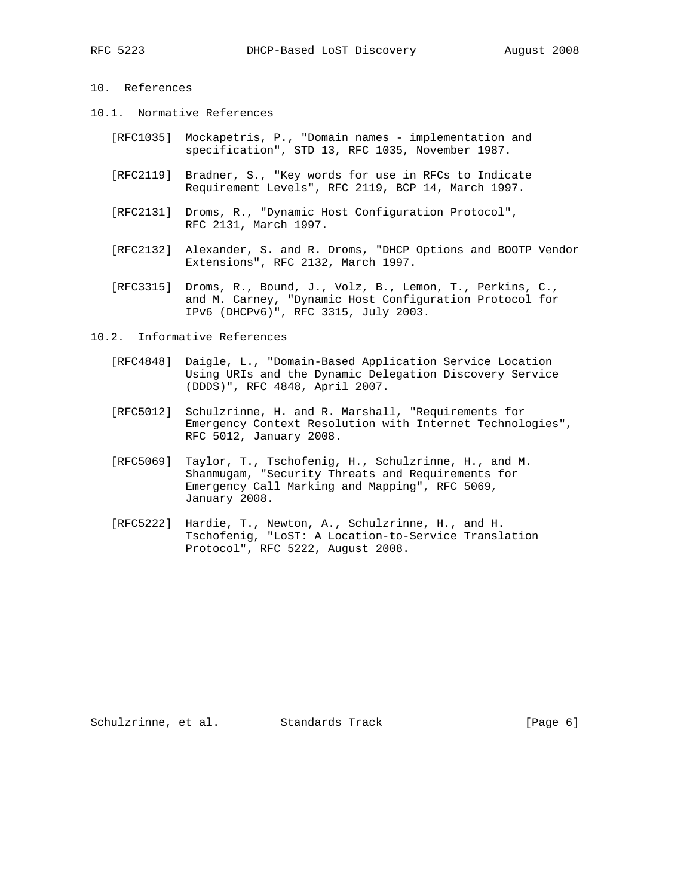# 10. References

- 10.1. Normative References
	- [RFC1035] Mockapetris, P., "Domain names implementation and specification", STD 13, RFC 1035, November 1987.
	- [RFC2119] Bradner, S., "Key words for use in RFCs to Indicate Requirement Levels", RFC 2119, BCP 14, March 1997.
	- [RFC2131] Droms, R., "Dynamic Host Configuration Protocol", RFC 2131, March 1997.
	- [RFC2132] Alexander, S. and R. Droms, "DHCP Options and BOOTP Vendor Extensions", RFC 2132, March 1997.
	- [RFC3315] Droms, R., Bound, J., Volz, B., Lemon, T., Perkins, C., and M. Carney, "Dynamic Host Configuration Protocol for IPv6 (DHCPv6)", RFC 3315, July 2003.

10.2. Informative References

- [RFC4848] Daigle, L., "Domain-Based Application Service Location Using URIs and the Dynamic Delegation Discovery Service (DDDS)", RFC 4848, April 2007.
- [RFC5012] Schulzrinne, H. and R. Marshall, "Requirements for Emergency Context Resolution with Internet Technologies", RFC 5012, January 2008.
- [RFC5069] Taylor, T., Tschofenig, H., Schulzrinne, H., and M. Shanmugam, "Security Threats and Requirements for Emergency Call Marking and Mapping", RFC 5069, January 2008.
- [RFC5222] Hardie, T., Newton, A., Schulzrinne, H., and H. Tschofenig, "LoST: A Location-to-Service Translation Protocol", RFC 5222, August 2008.

Schulzrinne, et al. Standards Track [Page 6]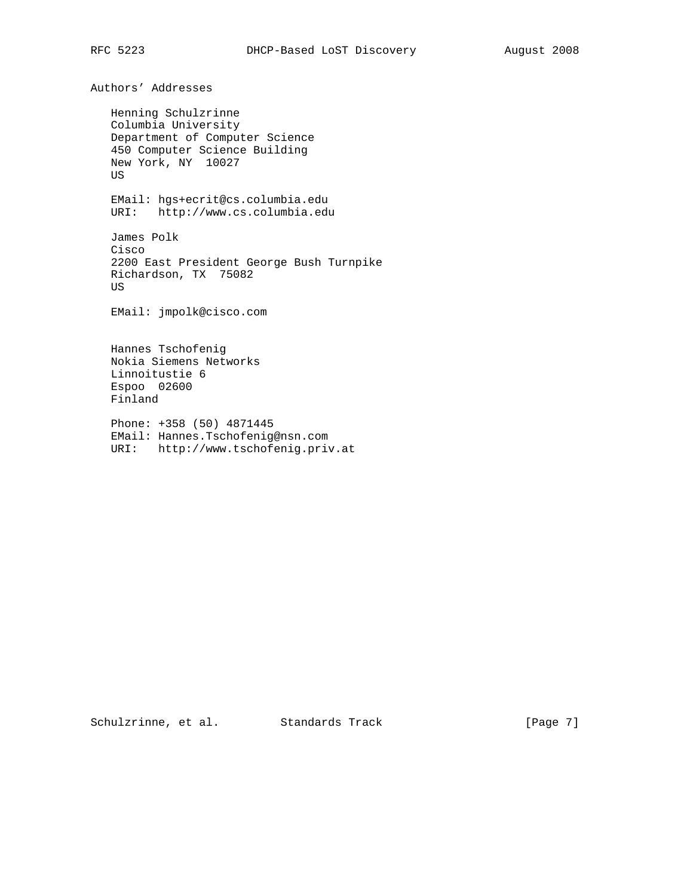Authors' Addresses

 Henning Schulzrinne Columbia University Department of Computer Science 450 Computer Science Building New York, NY 10027 US EMail: hgs+ecrit@cs.columbia.edu URI: http://www.cs.columbia.edu James Polk Cisco 2200 East President George Bush Turnpike Richardson, TX 75082 US EMail: jmpolk@cisco.com Hannes Tschofenig Nokia Siemens Networks Linnoitustie 6 Espoo 02600 Finland Phone: +358 (50) 4871445

 EMail: Hannes.Tschofenig@nsn.com URI: http://www.tschofenig.priv.at

Schulzrinne, et al. Standards Track [Page 7]